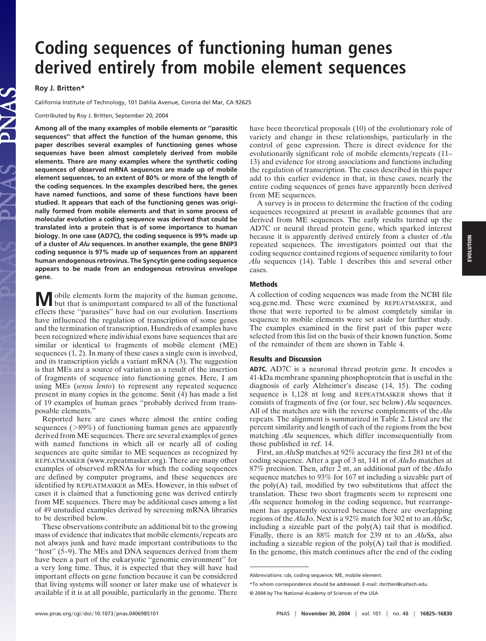# **Coding sequences of functioning human genes derived entirely from mobile element sequences**

**Roy J. Britten\***

California Institute of Technology, 101 Dahlia Avenue, Corona del Mar, CA 92625

Contributed by Roy J. Britten, September 20, 2004

**Among all of the many examples of mobile elements or ''parasitic sequences'' that affect the function of the human genome, this paper describes several examples of functioning genes whose sequences have been almost completely derived from mobile elements. There are many examples where the synthetic coding sequences of observed mRNA sequences are made up of mobile element sequences, to an extent of 80% or more of the length of the coding sequences. In the examples described here, the genes have named functions, and some of these functions have been studied. It appears that each of the functioning genes was originally formed from mobile elements and that in some process of molecular evolution a coding sequence was derived that could be translated into a protein that is of some importance to human biology. In one case (AD7C), the coding sequence is 99% made up of a cluster of** *Alu* **sequences. In another example, the gene BNIP3 coding sequence is 97% made up of sequences from an apparent human endogenous retrovirus. The Syncytin gene coding sequence appears to be made from an endogenous retrovirus envelope gene.**

**M** obile elements form the majority of the human genome, but that is unimportant compared to all of the functional effects these ''parasites'' have had on our evolution. Insertions have influenced the regulation of transcription of some genes and the termination of transcription. Hundreds of examples have been recognized where individual exons have sequences that are similar or identical to fragments of mobile element (ME) sequences (1, 2). In many of these cases a single exon is involved, and its transcription yields a variant mRNA (3). The suggestion is that MEs are a source of variation as a result of the insertion of fragments of sequence into functioning genes. Here, I am using MEs (*sensu lento*) to represent any repeated sequence present in many copies in the genome. Smit (4) has made a list of 19 examples of human genes ''probably derived from transposable elements.''

Reported here are cases where almost the entire coding sequences ( $>89\%$ ) of functioning human genes are apparently derived from ME sequences. There are several examples of genes with named functions in which all or nearly all of coding sequences are quite similar to ME sequences as recognized by REPEATMASKER (www.repeatmasker.org). There are many other examples of observed mRNAs for which the coding sequences are defined by computer programs, and these sequences are identified by REPEATMASKER as MEs. However, in this subset of cases it is claimed that a functioning gene was derived entirely from ME sequences. There may be additional cases among a list of 49 unstudied examples derived by screening mRNA libraries to be described below.

These observations contribute an additional bit to the growing mass of evidence that indicates that mobile elements/repeats are not always junk and have made important contributions to the "host" (5–9). The MEs and DNA sequences derived from them have been a part of the eukaryotic ''genomic environment'' for a very long time. Thus, it is expected that they will have had important effects on gene function because it can be considered that living systems will sooner or later make use of whatever is available if it is at all possible, particularly in the genome. There

have been theoretical proposals (10) of the evolutionary role of variety and change in these relationships, particularly in the control of gene expression. There is direct evidence for the evolutionarily significant role of mobile elements/repeats (11– 13) and evidence for strong associations and functions including the regulation of transcription. The cases described in this paper add to this earlier evidence in that, in these cases, nearly the entire coding sequences of genes have apparently been derived from ME sequences.

A survey is in process to determine the fraction of the coding sequences recognized at present in available genomes that are derived from ME sequences. The early results turned up the AD7C or neural thread protein gene, which sparked interest because it is apparently derived entirely from a cluster of *Alu* repeated sequences. The investigators pointed out that the coding sequence contained regions of sequence similarity to four *Alu* sequences (14). Table 1 describes this and several other cases.

## **Methods**

A collection of coding sequences was made from the NCBI file seq\_gene.md. These were examined by REPEATMASKER, and those that were reported to be almost completely similar in sequence to mobile elements were set aside for further study. The examples examined in the first part of this paper were selected from this list on the basis of their known function. Some of the remainder of them are shown in Table 4.

### **Results and Discussion**

**AD7C.** AD7C is a neuronal thread protein gene. It encodes a 41-kDa membrane spanning phosphoprotein that is useful in the diagnosis of early Alzheimer's disease (14, 15). The coding sequence is 1,128 nt long and REPEATMASKER shows that it consists of fragments of five (or four, see below) *Alu* sequences. All of the matches are with the reverse complements of the *Alu* repeats. The alignment is summarized in Table 2. Listed are the percent similarity and length of each of the regions from the best matching *Alu* sequences, which differ inconsequentially from those published in ref. 14.

First, an *Alu*Sp matches at 92% accuracy the first 281 nt of the coding sequence. After a gap of 3 nt, 141 nt of *Alu*Jo matches at 87% precision. Then, after 2 nt, an additional part of the *Alu*Jo sequence matches to 93% for 167 nt including a sizeable part of the poly(A) tail, modified by two substitutions that affect the translation. These two short fragments seem to represent one *Alu* sequence homolog in the coding sequence, but rearrangement has apparently occurred because there are overlapping regions of the *Alu*Jo. Next is a 92% match for 302 nt to an *Alu*Sc, including a sizeable part of the  $poly(A)$  tail that is modified. Finally, there is an 88% match for 239 nt to an *Alu*Sx, also including a sizeable region of the poly(A) tail that is modified. In the genome, this match continues after the end of the coding

Abbreviations: cds, coding sequence; ME, mobile element.

<sup>\*</sup>To whom correspondence should be addressed. E-mail: rbritten@caltech.edu.

<sup>© 2004</sup> by The National Academy of Sciences of the USA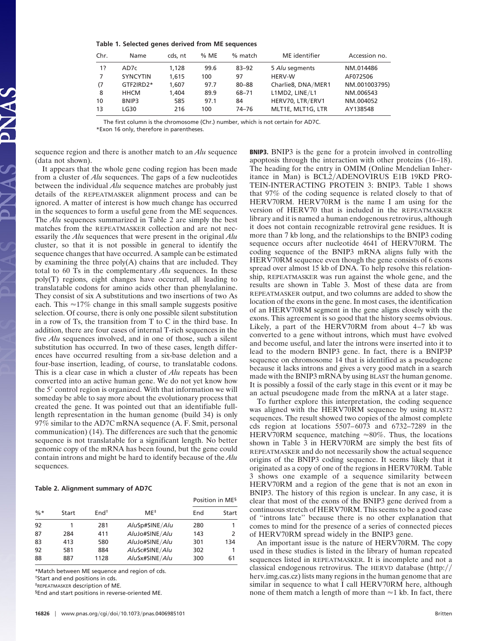| Table 1. Selected genes derived from ME sequences |  |  |  |  |  |  |  |
|---------------------------------------------------|--|--|--|--|--|--|--|
|---------------------------------------------------|--|--|--|--|--|--|--|

| Chr. | Name            | cds, nt | % ME | % match   | ME identifier      | Accession no. |
|------|-----------------|---------|------|-----------|--------------------|---------------|
| 1?   | AD7c            | 1.128   | 99.6 | $83 - 92$ | 5 Alu segments     | NM_014486     |
| 7    | <b>SYNCYTIN</b> | 1.615   | 100  | 97        | <b>HERV-W</b>      | AF072506      |
| (7)  | GTF2IRD2*       | 1.607   | 97.7 | $80 - 88$ | Charlie8, DNA/MER1 | NM_001003795) |
| 8    | <b>HHCM</b>     | 1.404   | 89.9 | 68-71     | L1MD2, LINE/L1     | NM_006543     |
| 10   | BNIP3           | 585     | 97.1 | 84        | HERV70, LTR/ERV1   | NM 004052     |
| 13   | LG30            | 216     | 100  | $74 - 76$ | MLT1E, MLT1G, LTR  | AY138548      |

The first column is the chromosome (Chr.) number, which is not certain for AD7C.

\*Exon 16 only, therefore in parentheses.

sequence region and there is another match to an *Alu* sequence (data not shown).

It appears that the whole gene coding region has been made from a cluster of *Alu* sequences. The gaps of a few nucleotides between the individual *Alu* sequence matches are probably just details of the REPEATMASKER alignment process and can be ignored. A matter of interest is how much change has occurred in the sequences to form a useful gene from the ME sequences. The *Alu* sequences summarized in Table 2 are simply the best matches from the REPEATMASKER collection and are not necessarily the *Alu* sequences that were present in the original *Alu* cluster, so that it is not possible in general to identify the sequence changes that have occurred. A sample can be estimated by examining the three poly(A) chains that are included. They total to 60 Ts in the complementary *Alu* sequences. In these poly(T) regions, eight changes have occurred, all leading to translatable codons for amino acids other than phenylalanine. They consist of six A substitutions and two insertions of two As each. This  $\approx$ 17% change in this small sample suggests positive selection. Of course, there is only one possible silent substitution in a row of Ts, the transition from T to C in the third base. In addition, there are four cases of internal T-rich sequences in the five *Alu* sequences involved, and in one of those, such a silent substitution has occurred. In two of these cases, length differences have occurred resulting from a six-base deletion and a four-base insertion, leading, of course, to translatable codons. This is a clear case in which a cluster of *Alu* repeats has been converted into an active human gene. We do not yet know how the 5' control region is organized. With that information we will someday be able to say more about the evolutionary process that created the gene. It was pointed out that an identifiable fulllength representation in the human genome (build 34) is only 97% similar to the AD7C mRNA sequence (A. F. Smit, personal communication) (14). The differences are such that the genomic sequence is not translatable for a significant length. No better genomic copy of the mRNA has been found, but the gene could contain introns and might be hard to identify because of the *Alu* sequences.

#### **Table 2. Alignment summary of AD7C**

|        |       |                  |                | Position in ME <sup>§</sup> |       |  |
|--------|-------|------------------|----------------|-----------------------------|-------|--|
| $\% *$ | Start | End <sup>†</sup> | $ME^+$         | End                         | Start |  |
| 92     |       | 281              | AluSp#SINE/Alu | 280                         |       |  |
| 87     | 284   | 411              | AluJo#SINE/Alu | 143                         | 2     |  |
| 83     | 413   | 580              | AluJo#SINE/Alu | 301                         | 134   |  |
| 92     | 581   | 884              | AluSc#SINE/Alu | 302                         |       |  |
| 88     | 887   | 1128             | AluSx#SINE/Alu | 300                         | 61    |  |

\*Match between ME sequence and region of cds.

†Start and end positions in cds.

‡REPEATMASKER description of ME.

§End and start positions in reverse-oriented ME.

**BNIP3.** BNIP3 is the gene for a protein involved in controlling apoptosis through the interaction with other proteins (16–18). The heading for the entry in OMIM (Online Mendelian Inheritance in Man) is BCL2/ADENOVIRUS E1B 19KD PRO-TEIN-INTERACTING PROTEIN 3: BNIP3. Table 1 shows that 97% of the coding sequence is related closely to that of HERV70RM. HERV70RM is the name I am using for the version of HERV70 that is included in the REPEATMASKER library and it is named a human endogenous retrovirus, although it does not contain recognizable retroviral gene residues. It is more than 7 kb long, and the relationships to the BNIP3 coding sequence occurs after nucleotide 4641 of HERV70RM. The coding sequence of the BNIP3 mRNA aligns fully with the HERV70RM sequence even though the gene consists of 6 exons spread over almost 15 kb of DNA. To help resolve this relationship, REPEATMASKER was run against the whole gene, and the results are shown in Table 3. Most of these data are from REPEATMASKER output, and two columns are added to show the location of the exons in the gene. In most cases, the identification of an HERV70RM segment in the gene aligns closely with the exons. This agreement is so good that the history seems obvious. Likely, a part of the HERV70RM from about 4–7 kb was converted to a gene without introns, which must have evolved and become useful, and later the introns were inserted into it to lead to the modern BNIP3 gene. In fact, there is a BNIP3P sequence on chromosome 14 that is identified as a pseudogene because it lacks introns and gives a very good match in a search made with the BNIP3 mRNA by using BLAST the human genome. It is possibly a fossil of the early stage in this event or it may be an actual pseudogene made from the mRNA at a later stage.

To further explore this interpretation, the coding sequence was aligned with the HERV70RM sequence by using BLAST2 sequences. The result showed two copies of the almost complete cds region at locations 5507–6073 and 6732–7289 in the HERV70RM sequence, matching  $\approx 80\%$ . Thus, the locations shown in Table 3 in HERV70RM are simply the best fits of REPEATMASKER and do not necessarily show the actual sequence origins of the BNIP3 coding sequence. It seems likely that it originated as a copy of one of the regions in HERV70RM. Table 3 shows one example of a sequence similarity between HERV70RM and a region of the gene that is not an exon in BNIP3. The history of this region is unclear. In any case, it is clear that most of the exons of the BNIP3 gene derived from a continuous stretch of HERV70RM. This seems to be a good case of ''introns late'' because there is no other explanation that comes to mind for the presence of a series of connected pieces of HERV70RM spread widely in the BNIP3 gene.

An important issue is the nature of HERV70RM. The copy used in these studies is listed in the library of human repeated sequences listed in REPEATMASKER. It is incomplete and not a classical endogenous retrovirus. The HERVD database (http: herv.img.cas.cz) lists many regions in the human genome that are similar in sequence to what I call HERV70RM here, although none of them match a length of more than  $\approx$  1 kb. In fact, there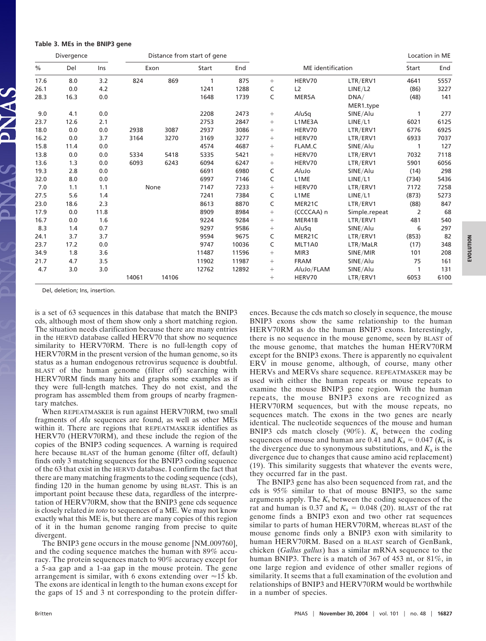|  |  |  |  |  | Table 3. MEs in the BNIP3 gene |  |
|--|--|--|--|--|--------------------------------|--|
|--|--|--|--|--|--------------------------------|--|

|      | Divergence |      |       |       | Distance from start of gene |       |                  |                    | Location in ME    |       |      |
|------|------------|------|-------|-------|-----------------------------|-------|------------------|--------------------|-------------------|-------|------|
| %    | Del        | Ins  | Exon  |       | Start                       | End   |                  | ME identification  |                   | Start | End  |
| 17.6 | 8.0        | 3.2  | 824   | 869   | 1                           | 875   | $+$              | HERV70             | LTR/ERV1          | 4641  | 5557 |
| 26.1 | 0.0        | 4.2  |       |       | 1241                        | 1288  | C                | L2                 | LINE/L2           | (86)  | 3227 |
| 28.3 | 16.3       | 0.0  |       |       | 1648                        | 1739  | C                | MER5A              | DNA/<br>MER1_type | (48)  | 141  |
| 9.0  | 4.1        | 0.0  |       |       | 2208                        | 2473  | $+$              | AluSq              | SINE/Alu          |       | 277  |
| 23.7 | 12.6       | 2.1  |       |       | 2753                        | 2847  | $\boldsymbol{+}$ | L1ME3A             | LINE/L1           | 6021  | 6125 |
| 18.0 | 0.0        | 0.0  | 2938  | 3087  | 2937                        | 3086  | $+$              | HERV70             | LTR/ERV1          | 6776  | 6925 |
| 16.2 | 0.0        | 3.7  | 3164  | 3270  | 3169                        | 3277  | $+$              | HERV70             | LTR/ERV1          | 6933  | 7037 |
| 15.8 | 11.4       | 0.0  |       |       | 4574                        | 4687  | $+$              | FLAM <sub>-C</sub> | SINE/Alu          | 1     | 127  |
| 13.8 | 0.0        | 0.0  | 5334  | 5418  | 5335                        | 5421  | $\boldsymbol{+}$ | HERV70             | LTR/ERV1          | 7032  | 7118 |
| 13.6 | 1.3        | 0.0  | 6093  | 6243  | 6094                        | 6247  | $+$              | HERV70             | LTR/ERV1          | 5901  | 6056 |
| 19.3 | 2.8        | 0.0  |       |       | 6691                        | 6980  | C                | AluJo              | SINE/Alu          | (14)  | 298  |
| 32.0 | 8.0        | 0.0  |       |       | 6997                        | 7146  | C                | L1ME               | LINE/L1           | (734) | 5436 |
| 7.0  | 1.1        | 1.1  | None  |       | 7147                        | 7233  | $+$              | HERV70             | LTR/ERV1          | 7172  | 7258 |
| 27.5 | 5.6        | 1.4  |       |       | 7241                        | 7384  | C                | L1ME               | LINE/L1           | (873) | 5273 |
| 23.0 | 18.6       | 2.3  |       |       | 8613                        | 8870  | C                | MER21C             | LTR/ERV1          | (88)  | 847  |
| 17.9 | 0.0        | 11.8 |       |       | 8909                        | 8984  | $\boldsymbol{+}$ | (CCCCAA) n         | Simple_repeat     | 2     | 68   |
| 16.7 | 0.0        | 1.6  |       |       | 9224                        | 9284  | $\boldsymbol{+}$ | MER41B             | LTR/ERV1          | 481   | 540  |
| 8.3  | 1.4        | 0.7  |       |       | 9297                        | 9586  | $+$              | AluSq              | SINE/Alu          | 6     | 297  |
| 24.1 | 3.7        | 3.7  |       |       | 9594                        | 9675  | C                | MER21C             | LTR/ERV1          | (853) | 82   |
| 23.7 | 17.2       | 0.0  |       |       | 9747                        | 10036 | C                | MLT1A0             | LTR/MaLR          | (17)  | 348  |
| 34.9 | 1.8        | 3.6  |       |       | 11487                       | 11596 | $+$              | MIR3               | SINE/MIR          | 101   | 208  |
| 21.7 | 4.7        | 3.5  |       |       | 11902                       | 11987 | $+$              | <b>FRAM</b>        | SINE/Alu          | 75    | 161  |
| 4.7  | 3.0        | 3.0  |       |       | 12762                       | 12892 | $+$              | AluJo/FLAM         | SINE/Alu          |       | 131  |
|      |            |      | 14061 | 14106 |                             |       | $+$              | HERV70             | LTR/ERV1          | 6053  | 6100 |

Del, deletion; Ins, insertion.

is a set of 63 sequences in this database that match the BNIP3 cds, although most of them show only a short matching region. The situation needs clarification because there are many entries in the HERVD database called HERV70 that show no sequence similarity to HERV70RM. There is no full-length copy of HERV70RM in the present version of the human genome, so its status as a human endogenous retrovirus sequence is doubtful. BLAST of the human genome (filter off) searching with HERV70RM finds many hits and graphs some examples as if they were full-length matches. They do not exist, and the program has assembled them from groups of nearby fragmentary matches.

When REPEATMASKER is run against HERV70RM, two small fragments of *Alu* sequences are found, as well as other MEs within it. There are regions that REPEATMASKER identifies as HERV70 (HERV70RM), and these include the region of the copies of the BNIP3 coding sequences. A warning is required here because BLAST of the human genome (filter off, default) finds only 3 matching sequences for the BNIP3 coding sequence of the 63 that exist in the HERVD database. I confirm the fact that there are many matching fragments to the coding sequence (cds), finding 120 in the human genome by using BLAST. This is an important point because these data, regardless of the interpretation of HERV70RM, show that the BNIP3 gene cds sequence is closely related *in toto* to sequences of a ME. We may not know exactly what this ME is, but there are many copies of this region of it in the human genome ranging from precise to quite divergent.

The BNIP3 gene occurs in the mouse genome [NM\_009760], and the coding sequence matches the human with 89% accuracy. The protein sequences match to 90% accuracy except for a 5-aa gap and a 1-aa gap in the mouse protein. The gene arrangement is similar, with 6 exons extending over  $\approx$ 15 kb. The exons are identical in length to the human exons except for the gaps of 15 and 3 nt corresponding to the protein differences. Because the cds match so closely in sequence, the mouse BNIP3 exons show the same relationship to the human HERV70RM as do the human BNIP3 exons. Interestingly, there is no sequence in the mouse genome, seen by BLAST of the mouse genome, that matches the human HERV70RM except for the BNIP3 exons. There is apparently no equivalent ERV in mouse genome, although, of course, many other HERVs and MERVs share sequence. REPEATMASKER may be used with either the human repeats or mouse repeats to examine the mouse BNIP3 gene region. With the human repeats, the mouse BNIP3 exons are recognized as HERV70RM sequences, but with the mouse repeats, no sequences match. The exons in the two genes are nearly identical. The nucleotide sequences of the mouse and human BNIP3 cds match closely (90%). *K*<sup>s</sup> between the coding sequences of mouse and human are 0.41 and  $K_a = 0.047$  ( $K_s$  is the divergence due to synonymous substitutions, and  $K_a$  is the divergence due to changes that cause amino acid replacement) (19). This similarity suggests that whatever the events were, they occurred far in the past.

The BNIP3 gene has also been sequenced from rat, and the cds is 95% similar to that of mouse BNIP3, so the same arguments apply. The *K*<sup>s</sup> between the coding sequences of the rat and human is 0.37 and  $K_a = 0.048$  (20). BLAST of the rat genome finds a BNIP3 exon and two other rat sequences similar to parts of human HERV70RM, whereas BLAST of the mouse genome finds only a BNIP3 exon with similarity to human HERV70RM. Based on a BLAST search of GenBank, chicken (*Gallus gallus*) has a similar mRNA sequence to the human BNIP3. There is a match of 367 of 453 nt, or 81%, in one large region and evidence of other smaller regions of similarity. It seems that a full examination of the evolution and relationships of BNIP3 and HERV70RM would be worthwhile in a number of species.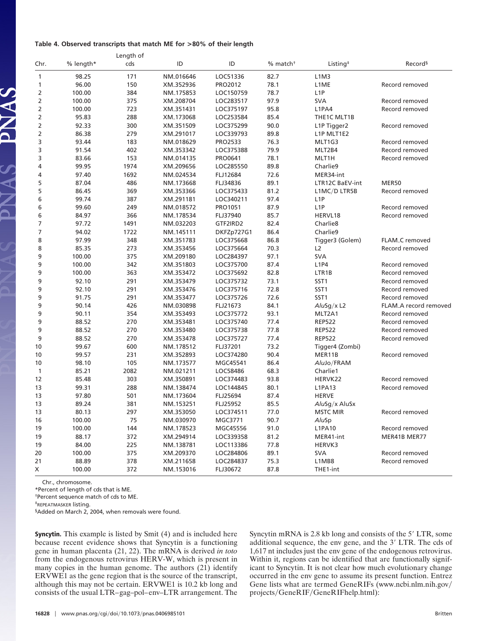#### **Table 4. Observed transcripts that match ME for >80% of their length**

|                |           | Length of |                       |                |                        |                                   |                       |
|----------------|-----------|-----------|-----------------------|----------------|------------------------|-----------------------------------|-----------------------|
| Chr.           | % length* | cds       | ID                    | ID             | $%$ match <sup>+</sup> | Listing <sup><math>‡</math></sup> | Record <sup>§</sup>   |
| $\mathbf{1}$   | 98.25     | 171       | NM_016646             | LOC51336       | 82.7                   | L1M3                              |                       |
| 1              | 96.00     | 150       | XM_352936             | PRO2012        | 78.1                   | L1ME                              | Record removed        |
| $\overline{2}$ | 100.00    | 384       | NM <sub>-175853</sub> | LOC150759      | 78.7                   | L <sub>1</sub> P                  |                       |
| $\overline{2}$ | 100.00    | 375       | XM_208704             | LOC283517      | 97.9                   | <b>SVA</b>                        | Record removed        |
| $\overline{2}$ | 100.00    | 723       | XM_351431             | LOC375197      | 95.8                   | L1PA4                             | Record removed        |
| $\overline{2}$ | 95.83     | 288       | XM_173068             | LOC253584      | 85.4                   | THE1C MLT1B                       |                       |
| $\overline{2}$ | 92.33     | 300       | XM_351509             | LOC375299      | 90.0                   | L1P Tigger2                       | Record removed        |
| $\overline{2}$ | 86.38     | 279       | XM_291017             | LOC339793      | 89.8                   | L1P MLT1E2                        |                       |
| 3              | 93.44     | 183       | NM_018629             | <b>PRO2533</b> | 76.3                   | MLT1G3                            | Record removed        |
| 3              | 91.54     | 402       | XM_353342             | LOC375388      | 79.9                   | MLT2B4                            | Record removed        |
| 3              | 83.66     | 153       | NM_014135             | PRO0641        | 78.1                   | MLT1H                             | Record removed        |
| 4              | 99.95     | 1974      | XM_209656             | LOC285550      | 89.8                   | Charlie9                          |                       |
| 4              | 97.40     | 1692      | NM_024534             | FLJ12684       | 72.6                   | MER34-int                         |                       |
| 5              | 87.04     | 486       | NM <sub>-173668</sub> | FLJ34836       | 89.1                   | LTR12C BaEV-int                   | MER50                 |
| 5              | 86.45     | 369       | XM_353366             | LOC375433      | 81.2                   | L1MC/D LTR5B                      | Record removed        |
| 6              | 99.74     | 387       | XM_291181             | LOC340211      | 97.4                   | L <sub>1</sub> P                  |                       |
| 6              | 99.60     | 249       | NM_018572             | PRO1051        | 87.9                   | L <sub>1</sub> P                  | Record removed        |
| 6              | 84.97     | 366       | NM <sub>-178534</sub> | FLJ37940       | 85.7                   | HERVL18                           | Record removed        |
| 7              | 97.72     | 1491      | NM_032203             | GTF2IRD2       | 82.4                   | Charlie <sub>8</sub>              |                       |
| $\overline{7}$ | 94.02     | 1722      | NM <sub>-145111</sub> | DKFZp727G1     | 86.4                   | Charlie9                          |                       |
| 8              | 97.99     | 348       | XM_351783             | LOC375668      | 86.8                   | Tigger3 (Golem)                   | FLAM_C removed        |
| 8              | 85.35     | 273       | XM_353456             | LOC375664      | 70.3                   | L2                                | Record removed        |
| 9              | 100.00    | 375       | XM_209180             | LOC284397      | 97.1                   | <b>SVA</b>                        |                       |
| 9              | 100.00    | 342       | XM_351803             | LOC375700      | 87.4                   | L1P4                              | Record removed        |
| 9              | 100.00    | 363       | XM_353472             | LOC375692      | 82.8                   | LTR1B                             | Record removed        |
| 9              | 92.10     | 291       | XM_353479             | LOC375732      | 73.1                   | SST <sub>1</sub>                  | Record removed        |
| 9              | 92.10     | 291       | XM_353476             | LOC375716      | 72.8                   | SST <sub>1</sub>                  | Record removed        |
| 9              | 91.75     | 291       | XM_353477             | LOC375726      | 72.6                   | SST <sub>1</sub>                  | Record removed        |
| 9              | 90.14     | 426       | NM_030898             | FLJ21673       | 84.1                   | $AluSg/x$ L2                      | FLAM_A record removed |
| 9              | 90.11     | 354       | XM_353493             | LOC375772      | 93.1                   | MLT2A1                            | Record removed        |
| 9              | 88.52     | 270       | XM_353481             | LOC375740      | 77.4                   | <b>REP522</b>                     | Record removed        |
| 9              | 88.52     | 270       | XM_353480             | LOC375738      | 77.8                   | <b>REP522</b>                     | Record removed        |
| 9              | 88.52     | 270       | XM_353478             | LOC375727      | 77.4                   | <b>REP522</b>                     | Record removed        |
| 10             | 99.67     | 600       | NM <sub>-178512</sub> | FLJ37201       | 73.2                   | Tigger4 (Zombi)                   |                       |
| 10             | 99.57     | 231       | XM_352893             | LOC374280      | 90.4                   | MER11B                            | Record removed        |
| 10             | 98.10     | 105       | NM <sub>-173577</sub> | MGC45541       | 86.4                   | AluJo/FRAM                        |                       |
| 1              | 85.21     | 2082      | NM_021211             | LOC58486       | 68.3                   | Charlie1                          |                       |
| 12             | 85.48     | 303       | XM_350891             | LOC374483      | 93.8                   | HERVK22                           | Record removed        |
| 13             | 99.31     | 288       | NM <sub>-138474</sub> | LOC144845      | 80.1                   | <b>L1PA13</b>                     | Record removed        |
| 13             | 97.80     | 501       | NM <sub>-173604</sub> | FLJ25694       | 87.4                   | <b>HERVE</b>                      |                       |
| 13             | 89.24     | 381       | NM <sub>-153251</sub> | FLJ25952       | 85.5                   | AluSg/x AluSx                     |                       |
| 13             | 80.13     | 297       | XM_353050             | LOC374511      | 77.0                   | <b>MSTC MIR</b>                   | Record removed        |
| 16             | 100.00    | 75        | NM_030970             | MGC3771        | 90.7                   | AluSp                             |                       |
| 19             | 100.00    | 144       | NM_178523             | MGC45556       | 91.0                   | L1PA10                            | Record removed        |
| 19             | 88.17     | 372       | XM_294914             | LOC339358      | 81.2                   | MER41-int                         | MER41B MER77          |
| 19             | 84.00     | 225       | NM <sub>-138781</sub> | LOC113386      | 77.8                   | HERVK3                            |                       |
| 20             | 100.00    | 375       | XM_209370             | LOC284806      | 89.1                   | <b>SVA</b>                        | Record removed        |
| 21             | 88.89     | 378       | XM_211658             | LOC284837      | 75.3                   | L1MB8                             | Record removed        |
| X              | 100.00    | 372       | NM <sub>-153016</sub> | FLJ30672       | 87.8                   | THE1-int                          |                       |
|                |           |           |                       |                |                        |                                   |                       |

Chr., chromosome.

PNAS PNAS

\*Percent of length of cds that is ME.

†Percent sequence match of cds to ME.

‡REPEATMASKER listing.

§Added on March 2, 2004, when removals were found.

**Syncytin.** This example is listed by Smit (4) and is included here because recent evidence shows that Syncytin is a functioning gene in human placenta (21, 22). The mRNA is derived *in toto* from the endogenous retrovirus HERV-W, which is present in many copies in the human genome. The authors (21) identify ERVWE1 as the gene region that is the source of the transcript, although this may not be certain. ERVWE1 is 10.2 kb long and consists of the usual LTR–gag–pol–env–LTR arrangement. The Syncytin mRNA is 2.8 kb long and consists of the 5' LTR, some additional sequence, the env gene, and the 3' LTR. The cds of 1,617 nt includes just the env gene of the endogenous retrovirus. Within it, regions can be identified that are functionally significant to Syncytin. It is not clear how much evolutionary change occurred in the env gene to assume its present function. Entrez Gene lists what are termed GeneRIFs (www.ncbi.nlm.nih.gov projects/GeneRIF/GeneRIFhelp.html):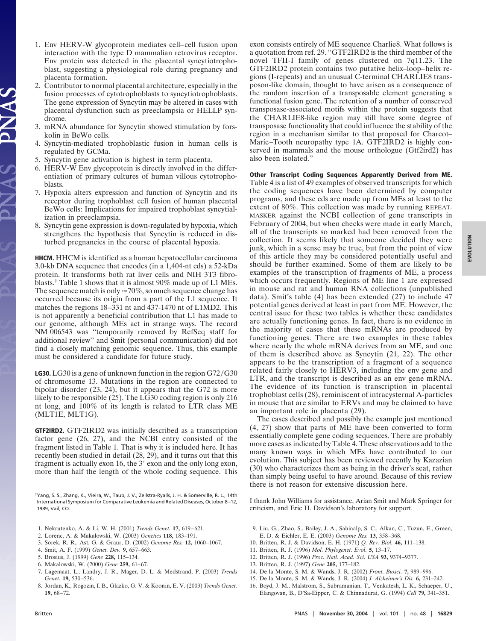- 1. Env HERV-W glycoprotein mediates cell–cell fusion upon interaction with the type D mammalian retrovirus receptor. Env protein was detected in the placental syncytiotrophoblast, suggesting a physiological role during pregnancy and placenta formation.
- 2. Contributor to normal placental architecture, especially in the fusion processes of cytotrophoblasts to syncytiotrophoblasts. The gene expression of Syncytin may be altered in cases with placental dysfunction such as preeclampsia or HELLP syndrome.
- 3. mRNA abundance for Syncytin showed stimulation by forskolin in BeWo cells.
- 4. Syncytin-mediated trophoblastic fusion in human cells is regulated by GCMa.
- 5. Syncytin gene activation is highest in term placenta.
- 6. HERV-W Env glycoprotein is directly involved in the differentiation of primary cultures of human villous cytotrophoblasts.
- 7. Hypoxia alters expression and function of Syncytin and its receptor during trophoblast cell fusion of human placental BeWo cells: Implications for impaired trophoblast syncytialization in preeclampsia.
- 8. Syncytin gene expression is down-regulated by hypoxia, which strengthens the hypothesis that Syncytin is reduced in disturbed pregnancies in the course of placental hypoxia.

**HHCM.** HHCM is identified as a human hepatocellular carcinoma 3.0-kb DNA sequence that encodes (in a 1,404-nt cds) a 52-kDa protein. It transforms both rat liver cells and NIH 3T3 fibroblasts.† Table 1 shows that it is almost 90% made up of L1 MEs. The sequence match is only  $\approx 70\%$ , so much sequence change has occurred because its origin from a part of the L1 sequence. It matches the regions 18–331 nt and 437-1470 nt of L1MD2. This is not apparently a beneficial contribution that L1 has made to our genome, although MEs act in strange ways. The record NM006543 was ''temporarily removed by RefSeq staff for additional review'' and Smit (personal communication) did not find a closely matching genomic sequence. Thus, this example must be considered a candidate for future study.

**LG30.** LG30 is a gene of unknown function in the region  $G72/G30$ of chromosome 13. Mutations in the region are connected to bipolar disorder (23, 24), but it appears that the G72 is more likely to be responsible (25). The LG30 coding region is only 216 nt long, and 100% of its length is related to LTR class ME (MLT1E, MLT1G).

**GTF2IRD2.** GTF2IRD2 was initially described as a transcription factor gene (26, 27), and the NCBI entry consisted of the fragment listed in Table 1. That is why it is included here. It has recently been studied in detail (28, 29), and it turns out that this fragment is actually exon 16, the  $3'$  exon and the only long exon, more than half the length of the whole coding sequence. This

- 1. Nekrutenko, A. & Li, W. H. (2001) *Trends Genet.* **17,** 619–621.
- 2. Lorenc, A. & Makalowski, W. (2003) *Genetics* **118,** 183–191.
- 3. Sorek, R. R., Ast, G. & Graur, D. (2002) *Genome Res.* **12,** 1060–1067.
- 4. Smit, A. F. (1999) *Genet. Dev.* **9,** 657–663.
- 5. Brosius, J. (1999) *Gene* **228,** 115–134.
- 6. Makalowski, W. (2000) *Gene* **259,** 61–67.
- 7. Lagemaat, L., Landry, J. R., Mager, D. L. & Medstrand, P. (2003) *Trends Genet.* **19,** 530–536.
- 8. Jordan, K., Rogozin, I. B., Glazko, G. V. & Koonin, E. V. (2003) *Trends Genet.* **19,** 68–72.

exon consists entirely of ME sequence Charlie8. What follows is a quotation from ref. 29. ''GTF2IRD2 is the third member of the novel TFII-I family of genes clustered on 7q11.23. The GTF2IRD2 protein contains two putative helix–loop–helix regions (I-repeats) and an unusual C-terminal CHARLIE8 transposon-like domain, thought to have arisen as a consequence of the random insertion of a transposable element generating a functional fusion gene. The retention of a number of conserved transposase-associated motifs within the protein suggests that the CHARLIE8-like region may still have some degree of transposase functionality that could influence the stability of the region in a mechanism similar to that proposed for Charcot– Marie–Tooth neuropathy type 1A. GTF2IRD2 is highly conserved in mammals and the mouse orthologue (Gtf2ird2) has also been isolated.''

#### **Other Transcript Coding Sequences Apparently Derived from ME.**

Table 4 is a list of 49 examples of observed transcripts for which the coding sequences have been determined by computer programs, and these cds are made up from MEs at least to the extent of 80%. This collection was made by running REPEAT-MASKER against the NCBI collection of gene transcripts in February of 2004, but when checks were made in early March, all of the transcripts so marked had been removed from the collection. It seems likely that someone decided they were junk, which in a sense may be true, but from the point of view of this article they may be considered potentially useful and should be further examined. Some of them are likely to be examples of the transcription of fragments of ME, a process which occurs frequently. Regions of ME line 1 are expressed in mouse and rat and human RNA collections (unpublished data). Smit's table (4) has been extended (27) to include 47 potential genes derived at least in part from ME. However, the central issue for these two tables is whether these candidates are actually functioning genes. In fact, there is no evidence in the majority of cases that these mRNAs are produced by functioning genes. There are two examples in these tables where nearly the whole mRNA derives from an ME, and one of them is described above as Syncytin (21, 22). The other appears to be the transcription of a fragment of a sequence related fairly closely to HERV3, including the env gene and LTR, and the transcript is described as an env gene mRNA. The evidence of its function is transcription in placental trophoblast cells (28), reminiscent of intracysternal A-particles in mouse that are similar to ERVs and may be claimed to have an important role in placenta (29).

The cases described and possibly the example just mentioned (4, 27) show that parts of ME have been converted to form essentially complete gene coding sequences. There are probably more cases as indicated by Table 4. These observations add to the many known ways in which MEs have contributed to our evolution. This subject has been reviewed recently by Kazazian (30) who characterizes them as being in the driver's seat, rather than simply being useful to have around. Because of this review there is not reason for extensive discussion here.

I thank John Williams for assistance, Arian Smit and Mark Springer for criticism, and Eric H. Davidson's laboratory for support.

- 9. Liu, G., Zhao, S., Bailey, J. A., Sahinalp, S. C., Alkan, C., Tuzun, E., Green, E, D. & Eichler, E. E. (2003) *Genome Res.* **13,** 358–368.
- 10. Britten, R. J. & Davidson, E. H. (1971) *Q. Rev. Biol.* **46,** 111–138.
- 11. Britten, R. J. (1996) *Mol. Phylogenet. Evol.* **5,** 13–17.
- 12. Britten, R. J. (1996) *Proc. Natl. Acad. Sci. USA* **93,** 9374–9377.
- 13. Britten, R. J. (1997) *Gene* **205,** 177–182.
- 14. De la Monte, S. M. & Wands, J. R. (2002) *Front. Biosci.* **7,** 989–996.
- 15. De la Monte, S. M. & Wands, J. R. (2004) *J. Alzheimer's Dis.* **6,** 231–242.
- 16. Boyd, J. M., Malstrom, S., Subramanian, T., Venkatesh, L. K., Schaeper, U., Elangovan, B., D'Sa-Eipper, C. & Chinnadurai, G. (1994) *Cell* **79,** 341–351.

<sup>†</sup>Yang, S. S., Zhang, K., Vieira, W., Taub, J. V., Zeilstra-Ryalls, J. H. & Somerville, R. L., 14th International Symposium for Comparative Leukemia and Related Diseases, October 8 –12, 1989, Vail, CO.